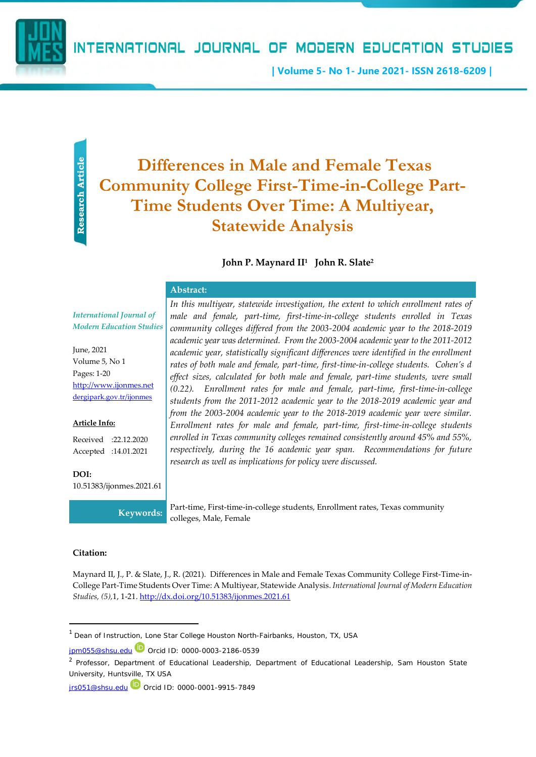INTERNATIONAL JOURNAL OF MODERN EDUCATION STUDIES

**| Volume 5- No 1- June 2021- ISSN 2618-6209 |**

Research Article **Research Article**

# **Differences in Male and Female Texas Community College First-Time-in-College Part-Time Students Over Time: A Multiyear, Statewide Analysis**

# **John P. Maynard II 1 John R. Slate<sup>2</sup>**

*In this multiyear, statewide investigation, the extent to which enrollment rates of male and female, part-time, first-time-in-college students enrolled in Texas community colleges differed from the 2003-2004 academic year to the 2018-2019 academic year was determined. From the 2003-2004 academic year to the 2011-2012 academic year, statistically significant differences were identified in the enrollment rates of both male and female, part-time, first-time-in-college students. Cohen's d effect sizes, calculated for both male and female, part-time students, were small (0.22). Enrollment rates for male and female, part-time, first-time-in-college students from the 2011-2012 academic year to the 2018-2019 academic year and from the 2003-2004 academic year to the 2018-2019 academic year were similar. Enrollment rates for male and female, part-time, first-time-in-college students enrolled in Texas community colleges remained consistently around 45% and 55%, respectively, during the 16 academic year span. Recommendations for future* 

### **Abstract:**

*International Journal of Modern Education Studies*

June, 2021 Volume 5, No 1 Pages: 1-20 [http://www.ijonmes.net](http://www.ijonmes.net/) [dergipark.gov.tr/ijonmes](http://www.dergipark.gov.tr/ijonmes)

#### **Article Info:**

Received :22.12.2020 Accepted :14.01.2021

**DOI:** 10.51383/ijonmes.2021.61

**Keywords:** Part-time, First-time-in-college students, Enrollment rates, Texas community colleges, Male, Female

#### **Citation:**

Maynard II, J., P. & Slate, J., R. (2021). Differences in Male and Female Texas Community College First-Time-in-College Part-Time Students Over Time: A Multiyear, Statewide Analysis. *International Journal of Modern Education Studies, (5),*1, 1-21[. http://dx.doi.org/10.51383/ijonmes.2021.61](http://dx.doi.org/10.51383/ijonmes.2021.61)

*research as well as implications for policy were discussed.* 

[jpm055@shsu.edu](mailto:jpm055@shsu.edu) D Orcid ID: 0000-0003-2186-0539

<sup>1</sup> Dean of Instruction, Lone Star College Houston North-Fairbanks, Houston, TX, USA

<sup>&</sup>lt;sup>2</sup> Professor, Department of Educational Leadership, Department of Educational Leadership, Sam Houston State University, Huntsville, TX USA

[jrs051@shsu.edu](mailto:jrs051@shsu.edu) Orcid ID[: 0000-0001-9915-7849](https://orcid.org/0000-0001-9915-7849)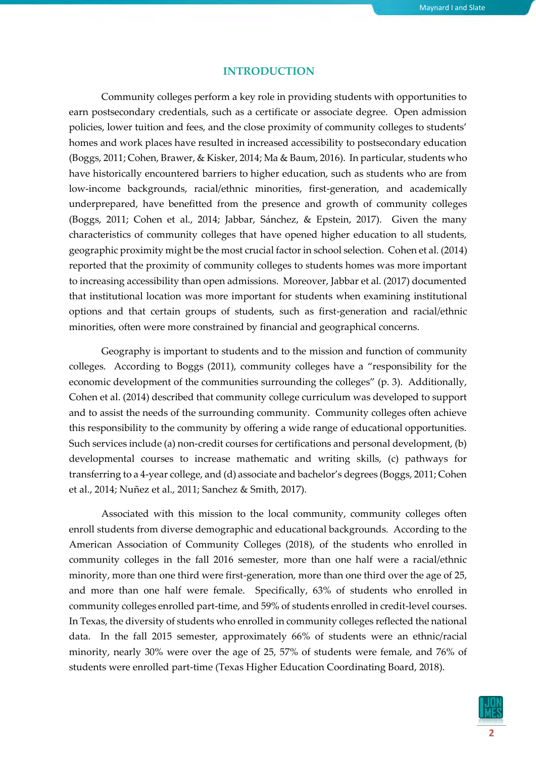### **INTRODUCTION**

Community colleges perform a key role in providing students with opportunities to earn postsecondary credentials, such as a certificate or associate degree. Open admission policies, lower tuition and fees, and the close proximity of community colleges to students' homes and work places have resulted in increased accessibility to postsecondary education (Boggs, 2011; Cohen, Brawer, & Kisker, 2014; Ma & Baum, 2016). In particular, students who have historically encountered barriers to higher education, such as students who are from low-income backgrounds, racial/ethnic minorities, first-generation, and academically underprepared, have benefitted from the presence and growth of community colleges (Boggs, 2011; Cohen et al., 2014; Jabbar, Sánchez, & Epstein, 2017). Given the many characteristics of community colleges that have opened higher education to all students, geographic proximity might be the most crucial factor in school selection. Cohen et al. (2014) reported that the proximity of community colleges to students homes was more important to increasing accessibility than open admissions. Moreover, Jabbar et al. (2017) documented that institutional location was more important for students when examining institutional options and that certain groups of students, such as first-generation and racial/ethnic minorities, often were more constrained by financial and geographical concerns.

Geography is important to students and to the mission and function of community colleges. According to Boggs (2011), community colleges have a "responsibility for the economic development of the communities surrounding the colleges" (p. 3). Additionally, Cohen et al. (2014) described that community college curriculum was developed to support and to assist the needs of the surrounding community. Community colleges often achieve this responsibility to the community by offering a wide range of educational opportunities. Such services include (a) non-credit courses for certifications and personal development, (b) developmental courses to increase mathematic and writing skills, (c) pathways for transferring to a 4-year college, and (d) associate and bachelor's degrees (Boggs, 2011; Cohen et al., 2014; Nuñez et al., 2011; Sanchez & Smith, 2017).

Associated with this mission to the local community, community colleges often enroll students from diverse demographic and educational backgrounds. According to the American Association of Community Colleges (2018), of the students who enrolled in community colleges in the fall 2016 semester, more than one half were a racial/ethnic minority, more than one third were first-generation, more than one third over the age of 25, and more than one half were female. Specifically, 63% of students who enrolled in community colleges enrolled part-time, and 59% of students enrolled in credit-level courses. In Texas, the diversity of students who enrolled in community colleges reflected the national data. In the fall 2015 semester, approximately 66% of students were an ethnic/racial minority, nearly 30% were over the age of 25, 57% of students were female, and 76% of students were enrolled part-time (Texas Higher Education Coordinating Board, 2018).

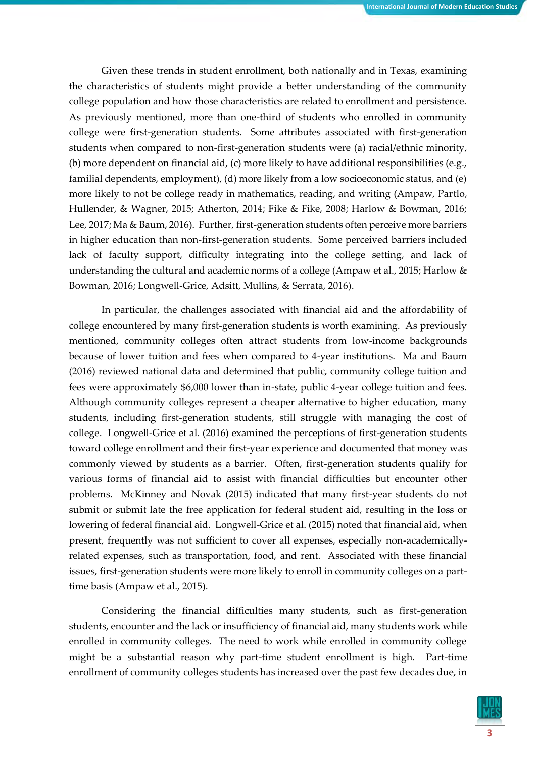Given these trends in student enrollment, both nationally and in Texas, examining the characteristics of students might provide a better understanding of the community college population and how those characteristics are related to enrollment and persistence. As previously mentioned, more than one-third of students who enrolled in community college were first-generation students. Some attributes associated with first-generation students when compared to non-first-generation students were (a) racial/ethnic minority, (b) more dependent on financial aid, (c) more likely to have additional responsibilities (e.g., familial dependents, employment), (d) more likely from a low socioeconomic status, and (e) more likely to not be college ready in mathematics, reading, and writing (Ampaw, Partlo, Hullender, & Wagner, 2015; Atherton, 2014; Fike & Fike, 2008; Harlow & Bowman, 2016; Lee, 2017; Ma & Baum, 2016). Further, first-generation students often perceive more barriers in higher education than non-first-generation students. Some perceived barriers included lack of faculty support, difficulty integrating into the college setting, and lack of understanding the cultural and academic norms of a college (Ampaw et al., 2015; Harlow & Bowman, 2016; Longwell-Grice, Adsitt, Mullins, & Serrata, 2016).

In particular, the challenges associated with financial aid and the affordability of college encountered by many first-generation students is worth examining. As previously mentioned, community colleges often attract students from low-income backgrounds because of lower tuition and fees when compared to 4-year institutions. Ma and Baum (2016) reviewed national data and determined that public, community college tuition and fees were approximately \$6,000 lower than in-state, public 4-year college tuition and fees. Although community colleges represent a cheaper alternative to higher education, many students, including first-generation students, still struggle with managing the cost of college. Longwell-Grice et al. (2016) examined the perceptions of first-generation students toward college enrollment and their first-year experience and documented that money was commonly viewed by students as a barrier. Often, first-generation students qualify for various forms of financial aid to assist with financial difficulties but encounter other problems. McKinney and Novak (2015) indicated that many first-year students do not submit or submit late the free application for federal student aid, resulting in the loss or lowering of federal financial aid. Longwell-Grice et al. (2015) noted that financial aid, when present, frequently was not sufficient to cover all expenses, especially non-academicallyrelated expenses, such as transportation, food, and rent. Associated with these financial issues, first-generation students were more likely to enroll in community colleges on a parttime basis (Ampaw et al., 2015).

Considering the financial difficulties many students, such as first-generation students, encounter and the lack or insufficiency of financial aid, many students work while enrolled in community colleges. The need to work while enrolled in community college might be a substantial reason why part-time student enrollment is high. Part-time enrollment of community colleges students has increased over the past few decades due, in

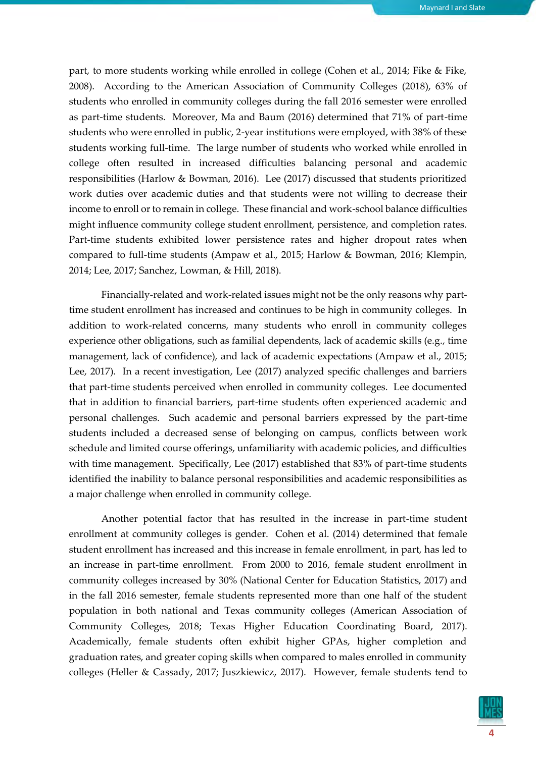part, to more students working while enrolled in college (Cohen et al., 2014; Fike & Fike, 2008). According to the American Association of Community Colleges (2018), 63% of students who enrolled in community colleges during the fall 2016 semester were enrolled as part-time students. Moreover, Ma and Baum (2016) determined that 71% of part-time students who were enrolled in public, 2-year institutions were employed, with 38% of these students working full-time. The large number of students who worked while enrolled in college often resulted in increased difficulties balancing personal and academic responsibilities (Harlow & Bowman, 2016). Lee (2017) discussed that students prioritized work duties over academic duties and that students were not willing to decrease their income to enroll or to remain in college. These financial and work-school balance difficulties might influence community college student enrollment, persistence, and completion rates. Part-time students exhibited lower persistence rates and higher dropout rates when compared to full-time students (Ampaw et al., 2015; Harlow & Bowman, 2016; Klempin, 2014; Lee, 2017; Sanchez, Lowman, & Hill, 2018).

Financially-related and work-related issues might not be the only reasons why parttime student enrollment has increased and continues to be high in community colleges. In addition to work-related concerns, many students who enroll in community colleges experience other obligations, such as familial dependents, lack of academic skills (e.g., time management, lack of confidence), and lack of academic expectations (Ampaw et al., 2015; Lee, 2017). In a recent investigation, Lee (2017) analyzed specific challenges and barriers that part-time students perceived when enrolled in community colleges. Lee documented that in addition to financial barriers, part-time students often experienced academic and personal challenges. Such academic and personal barriers expressed by the part-time students included a decreased sense of belonging on campus, conflicts between work schedule and limited course offerings, unfamiliarity with academic policies, and difficulties with time management. Specifically, Lee (2017) established that 83% of part-time students identified the inability to balance personal responsibilities and academic responsibilities as a major challenge when enrolled in community college.

Another potential factor that has resulted in the increase in part-time student enrollment at community colleges is gender. Cohen et al. (2014) determined that female student enrollment has increased and this increase in female enrollment, in part, has led to an increase in part-time enrollment. From 2000 to 2016, female student enrollment in community colleges increased by 30% (National Center for Education Statistics, 2017) and in the fall 2016 semester, female students represented more than one half of the student population in both national and Texas community colleges (American Association of Community Colleges, 2018; Texas Higher Education Coordinating Board, 2017). Academically, female students often exhibit higher GPAs, higher completion and graduation rates, and greater coping skills when compared to males enrolled in community colleges (Heller & Cassady, 2017; Juszkiewicz, 2017). However, female students tend to

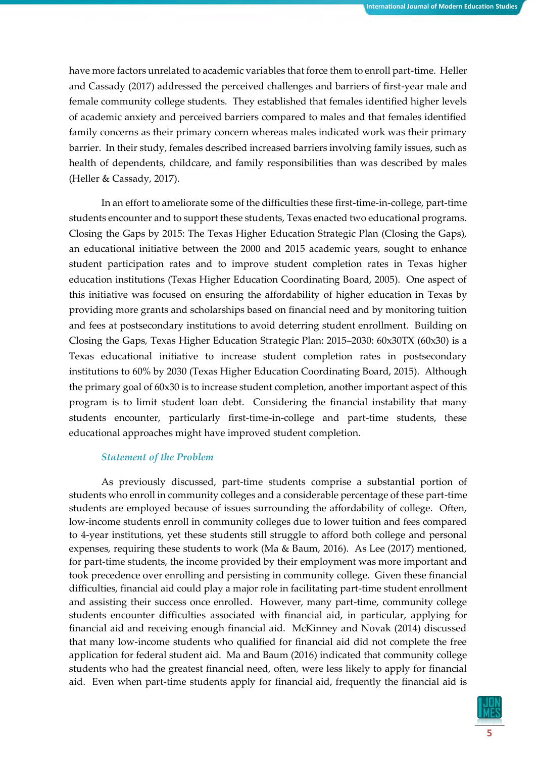have more factors unrelated to academic variables that force them to enroll part-time. Heller and Cassady (2017) addressed the perceived challenges and barriers of first-year male and female community college students. They established that females identified higher levels of academic anxiety and perceived barriers compared to males and that females identified family concerns as their primary concern whereas males indicated work was their primary barrier. In their study, females described increased barriers involving family issues, such as health of dependents, childcare, and family responsibilities than was described by males (Heller & Cassady, 2017).

In an effort to ameliorate some of the difficulties these first-time-in-college, part-time students encounter and to support these students, Texas enacted two educational programs. Closing the Gaps by 2015: The Texas Higher Education Strategic Plan (Closing the Gaps), an educational initiative between the 2000 and 2015 academic years, sought to enhance student participation rates and to improve student completion rates in Texas higher education institutions (Texas Higher Education Coordinating Board, 2005). One aspect of this initiative was focused on ensuring the affordability of higher education in Texas by providing more grants and scholarships based on financial need and by monitoring tuition and fees at postsecondary institutions to avoid deterring student enrollment. Building on Closing the Gaps, Texas Higher Education Strategic Plan: 2015–2030: 60x30TX (60x30) is a Texas educational initiative to increase student completion rates in postsecondary institutions to 60% by 2030 (Texas Higher Education Coordinating Board, 2015). Although the primary goal of 60x30 is to increase student completion, another important aspect of this program is to limit student loan debt. Considering the financial instability that many students encounter, particularly first-time-in-college and part-time students, these educational approaches might have improved student completion.

### *Statement of the Problem*

As previously discussed, part-time students comprise a substantial portion of students who enroll in community colleges and a considerable percentage of these part-time students are employed because of issues surrounding the affordability of college. Often, low-income students enroll in community colleges due to lower tuition and fees compared to 4-year institutions, yet these students still struggle to afford both college and personal expenses, requiring these students to work (Ma & Baum, 2016). As Lee (2017) mentioned, for part-time students, the income provided by their employment was more important and took precedence over enrolling and persisting in community college. Given these financial difficulties, financial aid could play a major role in facilitating part-time student enrollment and assisting their success once enrolled. However, many part-time, community college students encounter difficulties associated with financial aid, in particular, applying for financial aid and receiving enough financial aid. McKinney and Novak (2014) discussed that many low-income students who qualified for financial aid did not complete the free application for federal student aid. Ma and Baum (2016) indicated that community college students who had the greatest financial need, often, were less likely to apply for financial aid. Even when part-time students apply for financial aid, frequently the financial aid is

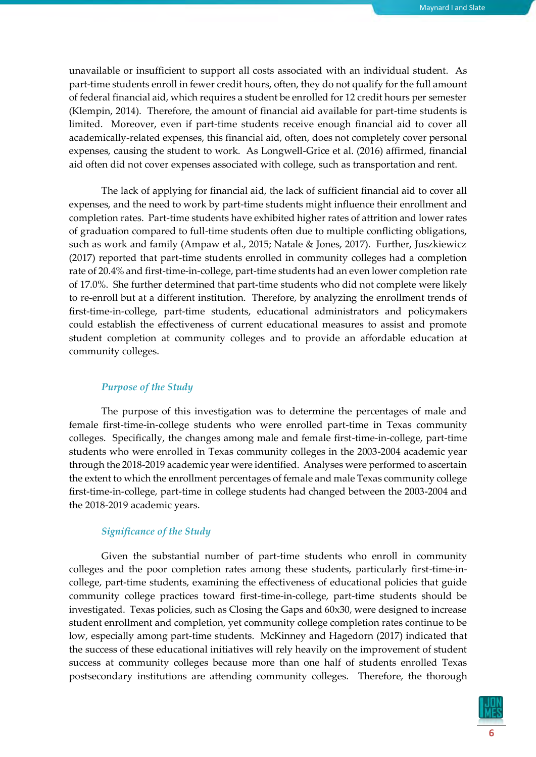unavailable or insufficient to support all costs associated with an individual student. As part-time students enroll in fewer credit hours, often, they do not qualify for the full amount of federal financial aid, which requires a student be enrolled for 12 credit hours per semester (Klempin, 2014). Therefore, the amount of financial aid available for part-time students is limited. Moreover, even if part-time students receive enough financial aid to cover all academically-related expenses, this financial aid, often, does not completely cover personal expenses, causing the student to work. As Longwell-Grice et al. (2016) affirmed, financial aid often did not cover expenses associated with college, such as transportation and rent.

The lack of applying for financial aid, the lack of sufficient financial aid to cover all expenses, and the need to work by part-time students might influence their enrollment and completion rates. Part-time students have exhibited higher rates of attrition and lower rates of graduation compared to full-time students often due to multiple conflicting obligations, such as work and family (Ampaw et al., 2015; Natale & Jones, 2017). Further, Juszkiewicz (2017) reported that part-time students enrolled in community colleges had a completion rate of 20.4% and first-time-in-college, part-time students had an even lower completion rate of 17.0%. She further determined that part-time students who did not complete were likely to re-enroll but at a different institution. Therefore, by analyzing the enrollment trends of first-time-in-college, part-time students, educational administrators and policymakers could establish the effectiveness of current educational measures to assist and promote student completion at community colleges and to provide an affordable education at community colleges.

### *Purpose of the Study*

The purpose of this investigation was to determine the percentages of male and female first-time-in-college students who were enrolled part-time in Texas community colleges. Specifically, the changes among male and female first-time-in-college, part-time students who were enrolled in Texas community colleges in the 2003-2004 academic year through the 2018-2019 academic year were identified. Analyses were performed to ascertain the extent to which the enrollment percentages of female and male Texas community college first-time-in-college, part-time in college students had changed between the 2003-2004 and the 2018-2019 academic years.

### *Significance of the Study*

Given the substantial number of part-time students who enroll in community colleges and the poor completion rates among these students, particularly first-time-incollege, part-time students, examining the effectiveness of educational policies that guide community college practices toward first-time-in-college, part-time students should be investigated. Texas policies, such as Closing the Gaps and 60x30, were designed to increase student enrollment and completion, yet community college completion rates continue to be low, especially among part-time students. McKinney and Hagedorn (2017) indicated that the success of these educational initiatives will rely heavily on the improvement of student success at community colleges because more than one half of students enrolled Texas postsecondary institutions are attending community colleges. Therefore, the thorough

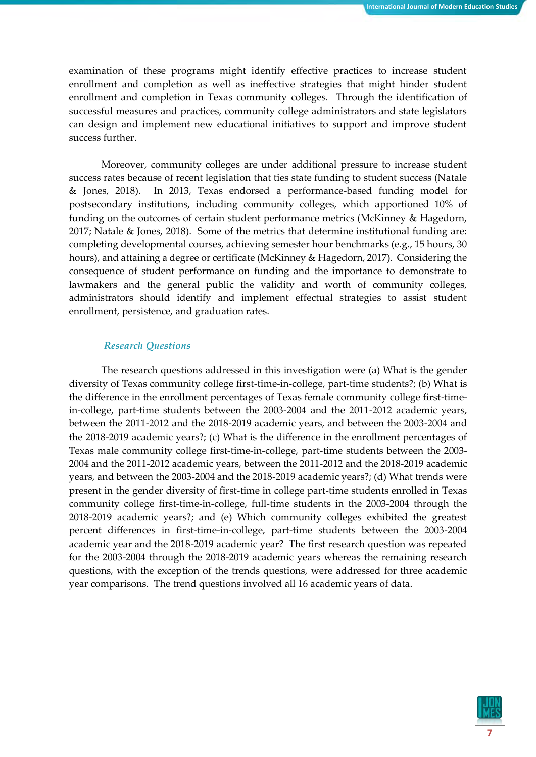examination of these programs might identify effective practices to increase student enrollment and completion as well as ineffective strategies that might hinder student enrollment and completion in Texas community colleges. Through the identification of successful measures and practices, community college administrators and state legislators can design and implement new educational initiatives to support and improve student success further.

Moreover, community colleges are under additional pressure to increase student success rates because of recent legislation that ties state funding to student success (Natale & Jones, 2018). In 2013, Texas endorsed a performance-based funding model for postsecondary institutions, including community colleges, which apportioned 10% of funding on the outcomes of certain student performance metrics (McKinney & Hagedorn, 2017; Natale & Jones, 2018). Some of the metrics that determine institutional funding are: completing developmental courses, achieving semester hour benchmarks (e.g., 15 hours, 30 hours), and attaining a degree or certificate (McKinney & Hagedorn, 2017). Considering the consequence of student performance on funding and the importance to demonstrate to lawmakers and the general public the validity and worth of community colleges, administrators should identify and implement effectual strategies to assist student enrollment, persistence, and graduation rates.

### *Research Questions*

The research questions addressed in this investigation were (a) What is the gender diversity of Texas community college first-time-in-college, part-time students?; (b) What is the difference in the enrollment percentages of Texas female community college first-timein-college, part-time students between the 2003-2004 and the 2011-2012 academic years, between the 2011-2012 and the 2018-2019 academic years, and between the 2003-2004 and the 2018-2019 academic years?; (c) What is the difference in the enrollment percentages of Texas male community college first-time-in-college, part-time students between the 2003- 2004 and the 2011-2012 academic years, between the 2011-2012 and the 2018-2019 academic years, and between the 2003-2004 and the 2018-2019 academic years?; (d) What trends were present in the gender diversity of first-time in college part-time students enrolled in Texas community college first-time-in-college, full-time students in the 2003-2004 through the 2018-2019 academic years?; and (e) Which community colleges exhibited the greatest percent differences in first-time-in-college, part-time students between the 2003-2004 academic year and the 2018-2019 academic year? The first research question was repeated for the 2003-2004 through the 2018-2019 academic years whereas the remaining research questions, with the exception of the trends questions, were addressed for three academic year comparisons. The trend questions involved all 16 academic years of data.

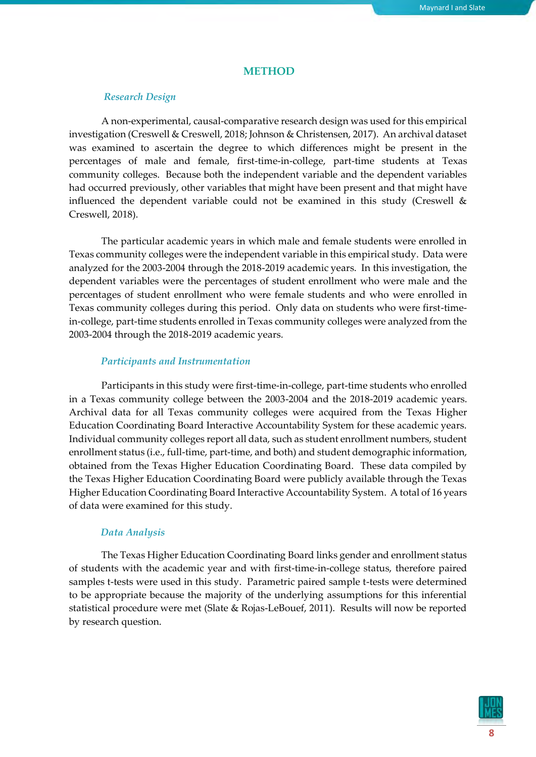### **METHOD**

### *Research Design*

A non-experimental, causal-comparative research design was used for this empirical investigation (Creswell & Creswell, 2018; Johnson & Christensen, 2017). An archival dataset was examined to ascertain the degree to which differences might be present in the percentages of male and female, first-time-in-college, part-time students at Texas community colleges. Because both the independent variable and the dependent variables had occurred previously, other variables that might have been present and that might have influenced the dependent variable could not be examined in this study (Creswell & Creswell, 2018).

The particular academic years in which male and female students were enrolled in Texas community colleges were the independent variable in this empirical study. Data were analyzed for the 2003-2004 through the 2018-2019 academic years. In this investigation, the dependent variables were the percentages of student enrollment who were male and the percentages of student enrollment who were female students and who were enrolled in Texas community colleges during this period. Only data on students who were first-timein-college, part-time students enrolled in Texas community colleges were analyzed from the 2003-2004 through the 2018-2019 academic years.

### *Participants and Instrumentation*

Participants in this study were first-time-in-college, part-time students who enrolled in a Texas community college between the 2003-2004 and the 2018-2019 academic years. Archival data for all Texas community colleges were acquired from the Texas Higher Education Coordinating Board Interactive Accountability System for these academic years. Individual community colleges report all data, such as student enrollment numbers, student enrollment status (i.e., full-time, part-time, and both) and student demographic information, obtained from the Texas Higher Education Coordinating Board. These data compiled by the Texas Higher Education Coordinating Board were publicly available through the Texas Higher Education Coordinating Board Interactive Accountability System. A total of 16 years of data were examined for this study.

#### *Data Analysis*

The Texas Higher Education Coordinating Board links gender and enrollment status of students with the academic year and with first-time-in-college status, therefore paired samples t-tests were used in this study. Parametric paired sample t-tests were determined to be appropriate because the majority of the underlying assumptions for this inferential statistical procedure were met (Slate & Rojas-LeBouef, 2011). Results will now be reported by research question.

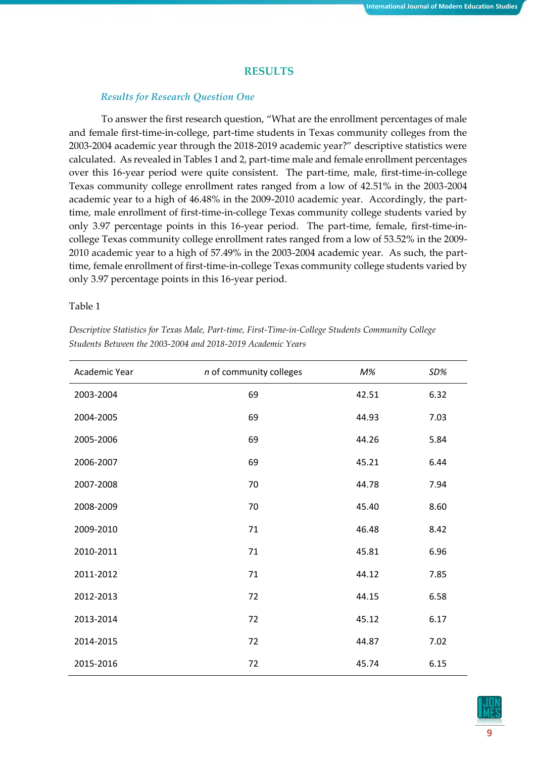### **RESULTS**

### *Results for Research Question One*

To answer the first research question, "What are the enrollment percentages of male and female first-time-in-college, part-time students in Texas community colleges from the 2003-2004 academic year through the 2018-2019 academic year?" descriptive statistics were calculated. As revealed in Tables 1 and 2, part-time male and female enrollment percentages over this 16-year period were quite consistent. The part-time, male, first-time-in-college Texas community college enrollment rates ranged from a low of 42.51% in the 2003-2004 academic year to a high of 46.48% in the 2009-2010 academic year. Accordingly, the parttime, male enrollment of first-time-in-college Texas community college students varied by only 3.97 percentage points in this 16-year period. The part-time, female, first-time-incollege Texas community college enrollment rates ranged from a low of 53.52% in the 2009- 2010 academic year to a high of 57.49% in the 2003-2004 academic year. As such, the parttime, female enrollment of first-time-in-college Texas community college students varied by only 3.97 percentage points in this 16-year period.

### Table 1

| Academic Year | n of community colleges | $M\%$ | SD%  |
|---------------|-------------------------|-------|------|
| 2003-2004     | 69                      | 42.51 | 6.32 |
| 2004-2005     | 69                      | 44.93 | 7.03 |
| 2005-2006     | 69                      | 44.26 | 5.84 |
| 2006-2007     | 69                      | 45.21 | 6.44 |
| 2007-2008     | 70                      | 44.78 | 7.94 |
| 2008-2009     | 70                      | 45.40 | 8.60 |
| 2009-2010     | 71                      | 46.48 | 8.42 |
| 2010-2011     | 71                      | 45.81 | 6.96 |
| 2011-2012     | 71                      | 44.12 | 7.85 |
| 2012-2013     | 72                      | 44.15 | 6.58 |
| 2013-2014     | 72                      | 45.12 | 6.17 |
| 2014-2015     | 72                      | 44.87 | 7.02 |
| 2015-2016     | 72                      | 45.74 | 6.15 |

*Descriptive Statistics for Texas Male, Part-time, First-Time-in-College Students Community College Students Between the 2003-2004 and 2018-2019 Academic Years*

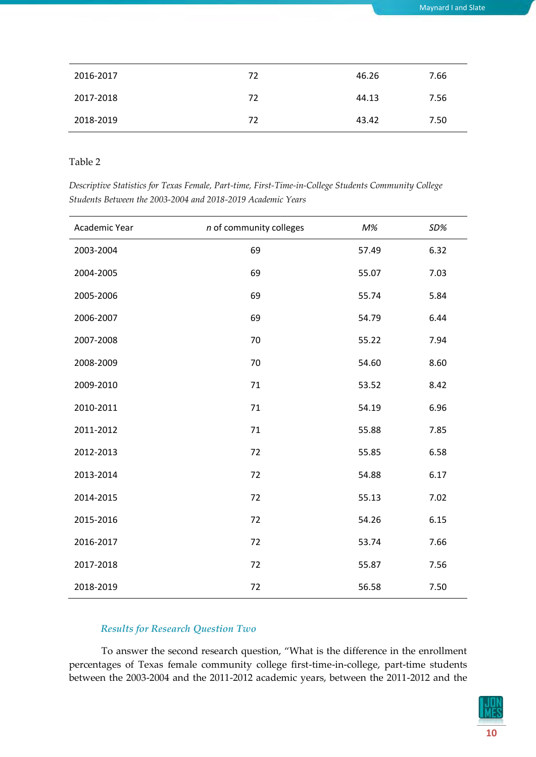| 2016-2017 | 72 | 46.26 | 7.66 |
|-----------|----|-------|------|
| 2017-2018 | 72 | 44.13 | 7.56 |
| 2018-2019 | 72 | 43.42 | 7.50 |

Table 2

| Descriptive Statistics for Texas Female, Part-time, First-Time-in-College Students Community College |  |
|------------------------------------------------------------------------------------------------------|--|
| Students Between the 2003-2004 and 2018-2019 Academic Years                                          |  |

| Academic Year | n of community colleges | $M\%$ | SD%  |
|---------------|-------------------------|-------|------|
| 2003-2004     | 69                      | 57.49 | 6.32 |
| 2004-2005     | 69                      | 55.07 | 7.03 |
| 2005-2006     | 69                      | 55.74 | 5.84 |
| 2006-2007     | 69                      | 54.79 | 6.44 |
| 2007-2008     | 70                      | 55.22 | 7.94 |
| 2008-2009     | 70                      | 54.60 | 8.60 |
| 2009-2010     | 71                      | 53.52 | 8.42 |
| 2010-2011     | 71                      | 54.19 | 6.96 |
| 2011-2012     | 71                      | 55.88 | 7.85 |
| 2012-2013     | 72                      | 55.85 | 6.58 |
| 2013-2014     | 72                      | 54.88 | 6.17 |
| 2014-2015     | 72                      | 55.13 | 7.02 |
| 2015-2016     | 72                      | 54.26 | 6.15 |
| 2016-2017     | 72                      | 53.74 | 7.66 |
| 2017-2018     | 72                      | 55.87 | 7.56 |
| 2018-2019     | 72                      | 56.58 | 7.50 |

# *Results for Research Question Two*

To answer the second research question, "What is the difference in the enrollment percentages of Texas female community college first-time-in-college, part-time students between the 2003-2004 and the 2011-2012 academic years, between the 2011-2012 and the

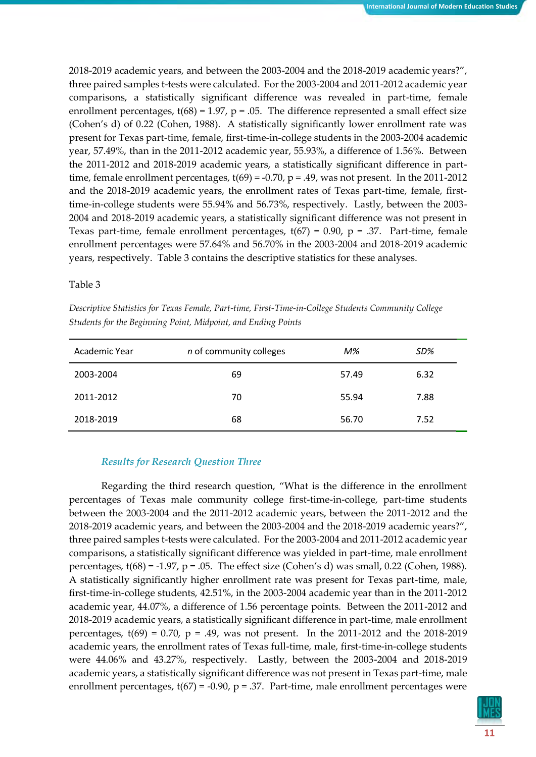2018-2019 academic years, and between the 2003-2004 and the 2018-2019 academic years?", three paired samples t-tests were calculated. For the 2003-2004 and 2011-2012 academic year comparisons, a statistically significant difference was revealed in part-time, female enrollment percentages,  $t(68) = 1.97$ ,  $p = .05$ . The difference represented a small effect size (Cohen's d) of 0.22 (Cohen, 1988). A statistically significantly lower enrollment rate was present for Texas part-time, female, first-time-in-college students in the 2003-2004 academic year, 57.49%, than in the 2011-2012 academic year, 55.93%, a difference of 1.56%. Between the 2011-2012 and 2018-2019 academic years, a statistically significant difference in parttime, female enrollment percentages,  $t(69) = -0.70$ ,  $p = .49$ , was not present. In the 2011-2012 and the 2018-2019 academic years, the enrollment rates of Texas part-time, female, firsttime-in-college students were 55.94% and 56.73%, respectively. Lastly, between the 2003- 2004 and 2018-2019 academic years, a statistically significant difference was not present in Texas part-time, female enrollment percentages,  $t(67) = 0.90$ ,  $p = .37$ . Part-time, female enrollment percentages were 57.64% and 56.70% in the 2003-2004 and 2018-2019 academic years, respectively. Table 3 contains the descriptive statistics for these analyses.

### Table 3

*Descriptive Statistics for Texas Female, Part-time, First-Time-in-College Students Community College Students for the Beginning Point, Midpoint, and Ending Points*

| Academic Year | n of community colleges | M%    | SD%  |
|---------------|-------------------------|-------|------|
| 2003-2004     | 69                      | 57.49 | 6.32 |
| 2011-2012     | 70                      | 55.94 | 7.88 |
| 2018-2019     | 68                      | 56.70 | 7.52 |

### *Results for Research Question Three*

Regarding the third research question, "What is the difference in the enrollment percentages of Texas male community college first-time-in-college, part-time students between the 2003-2004 and the 2011-2012 academic years, between the 2011-2012 and the 2018-2019 academic years, and between the 2003-2004 and the 2018-2019 academic years?", three paired samples t-tests were calculated. For the 2003-2004 and 2011-2012 academic year comparisons, a statistically significant difference was yielded in part-time, male enrollment percentages,  $t(68) = -1.97$ ,  $p = .05$ . The effect size (Cohen's d) was small, 0.22 (Cohen, 1988). A statistically significantly higher enrollment rate was present for Texas part-time, male, first-time-in-college students, 42.51%, in the 2003-2004 academic year than in the 2011-2012 academic year, 44.07%, a difference of 1.56 percentage points. Between the 2011-2012 and 2018-2019 academic years, a statistically significant difference in part-time, male enrollment percentages,  $t(69) = 0.70$ ,  $p = .49$ , was not present. In the 2011-2012 and the 2018-2019 academic years, the enrollment rates of Texas full-time, male, first-time-in-college students were 44.06% and 43.27%, respectively. Lastly, between the 2003-2004 and 2018-2019 academic years, a statistically significant difference was not present in Texas part-time, male enrollment percentages,  $t(67) = -0.90$ ,  $p = .37$ . Part-time, male enrollment percentages were

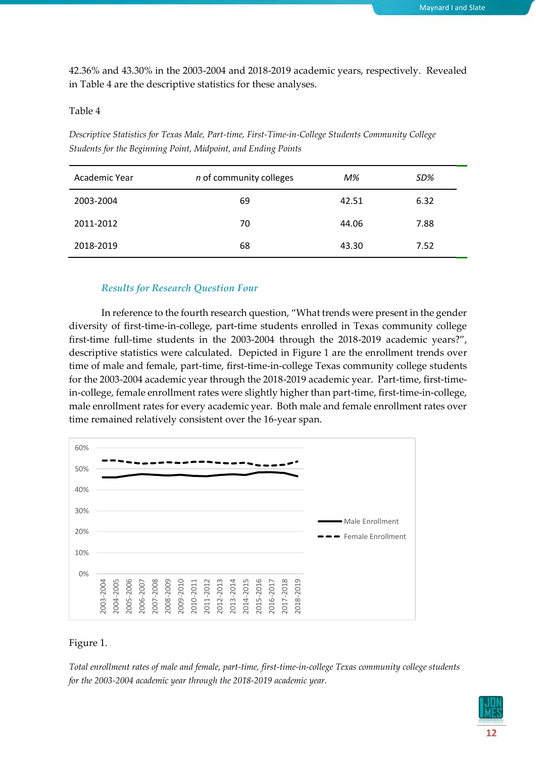42.36% and 43.30% in the 2003-2004 and 2018-2019 academic years, respectively. Revealed in Table 4 are the descriptive statistics for these analyses.

### Table 4

*Descriptive Statistics for Texas Male, Part-time, First-Time-in-College Students Community College Students for the Beginning Point, Midpoint, and Ending Points*

| Academic Year | <i>n</i> of community colleges | M%    | SD%  |
|---------------|--------------------------------|-------|------|
| 2003-2004     | 69                             | 42.51 | 6.32 |
| 2011-2012     | 70                             | 44.06 | 7.88 |
| 2018-2019     | 68                             | 43.30 | 7.52 |

### *Results for Research Question Four*

In reference to the fourth research question, "What trends were present in the gender diversity of first-time-in-college, part-time students enrolled in Texas community college first-time full-time students in the 2003-2004 through the 2018-2019 academic years?", descriptive statistics were calculated. Depicted in Figure 1 are the enrollment trends over time of male and female, part-time, first-time-in-college Texas community college students for the 2003-2004 academic year through the 2018-2019 academic year. Part-time, first-timein-college, female enrollment rates were slightly higher than part-time, first-time-in-college, male enrollment rates for every academic year. Both male and female enrollment rates over time remained relatively consistent over the 16-year span.



### Figure 1.

*Total enrollment rates of male and female, part-time, first-time-in-college Texas community college students for the 2003-2004 academic year through the 2018-2019 academic year.*

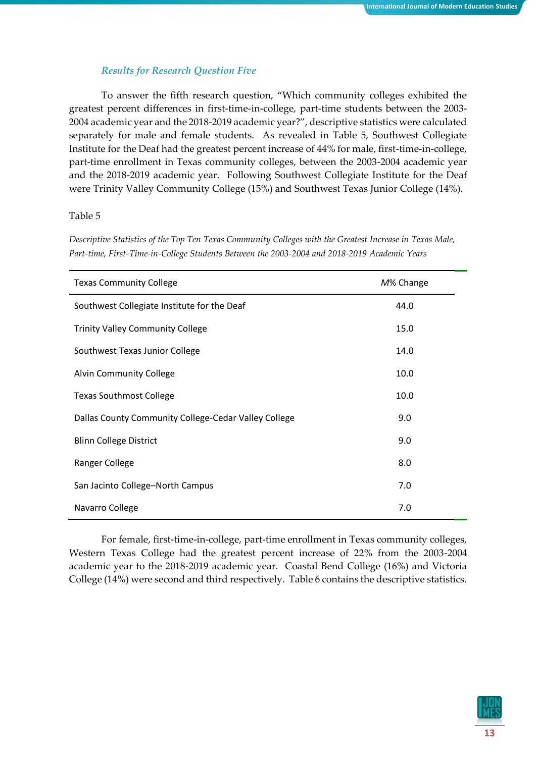### *Results for Research Question Five*

To answer the fifth research question, "Which community colleges exhibited the greatest percent differences in first-time-in-college, part-time students between the 2003- 2004 academic year and the 2018-2019 academic year?", descriptive statistics were calculated separately for male and female students. As revealed in Table 5, Southwest Collegiate Institute for the Deaf had the greatest percent increase of 44% for male, first-time-in-college, part-time enrollment in Texas community colleges, between the 2003-2004 academic year and the 2018-2019 academic year. Following Southwest Collegiate Institute for the Deaf were Trinity Valley Community College (15%) and Southwest Texas Junior College (14%).

### Table 5

*Descriptive Statistics of the Top Ten Texas Community Colleges with the Greatest Increase in Texas Male, Part-time, First-Time-in-College Students Between the 2003-2004 and 2018-2019 Academic Years*

| <b>Texas Community College</b>                       | M% Change |
|------------------------------------------------------|-----------|
| Southwest Collegiate Institute for the Deaf          | 44.0      |
| <b>Trinity Valley Community College</b>              | 15.0      |
| Southwest Texas Junior College                       | 14.0      |
| <b>Alvin Community College</b>                       | 10.0      |
| <b>Texas Southmost College</b>                       | 10.0      |
| Dallas County Community College-Cedar Valley College | 9.0       |
| <b>Blinn College District</b>                        | 9.0       |
| Ranger College                                       | 8.0       |
| San Jacinto College-North Campus                     | 7.0       |
| Navarro College                                      | 7.0       |

For female, first-time-in-college, part-time enrollment in Texas community colleges, Western Texas College had the greatest percent increase of 22% from the 2003-2004 academic year to the 2018-2019 academic year. Coastal Bend College (16%) and Victoria College (14%) were second and third respectively. Table 6 contains the descriptive statistics.

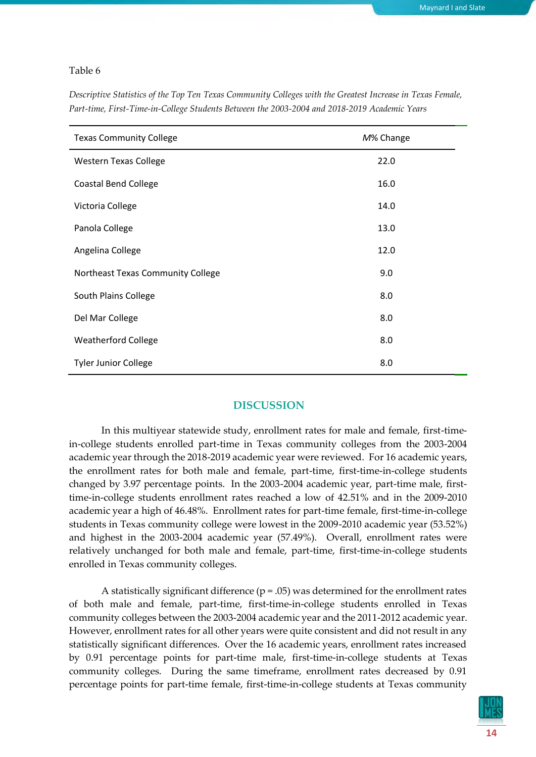#### Table 6

*Descriptive Statistics of the Top Ten Texas Community Colleges with the Greatest Increase in Texas Female, Part-time, First-Time-in-College Students Between the 2003-2004 and 2018-2019 Academic Years*

| <b>Texas Community College</b>    | M% Change |
|-----------------------------------|-----------|
| <b>Western Texas College</b>      | 22.0      |
| <b>Coastal Bend College</b>       | 16.0      |
| Victoria College                  | 14.0      |
| Panola College                    | 13.0      |
| Angelina College                  | 12.0      |
| Northeast Texas Community College | 9.0       |
| South Plains College              | 8.0       |
| Del Mar College                   | 8.0       |
| <b>Weatherford College</b>        | 8.0       |
| <b>Tyler Junior College</b>       | 8.0       |

### **DISCUSSION**

In this multiyear statewide study, enrollment rates for male and female, first-timein-college students enrolled part-time in Texas community colleges from the 2003-2004 academic year through the 2018-2019 academic year were reviewed. For 16 academic years, the enrollment rates for both male and female, part-time, first-time-in-college students changed by 3.97 percentage points. In the 2003-2004 academic year, part-time male, firsttime-in-college students enrollment rates reached a low of 42.51% and in the 2009-2010 academic year a high of 46.48%. Enrollment rates for part-time female, first-time-in-college students in Texas community college were lowest in the 2009-2010 academic year (53.52%) and highest in the 2003-2004 academic year (57.49%). Overall, enrollment rates were relatively unchanged for both male and female, part-time, first-time-in-college students enrolled in Texas community colleges.

A statistically significant difference ( $p = .05$ ) was determined for the enrollment rates of both male and female, part-time, first-time-in-college students enrolled in Texas community colleges between the 2003-2004 academic year and the 2011-2012 academic year. However, enrollment rates for all other years were quite consistent and did not result in any statistically significant differences. Over the 16 academic years, enrollment rates increased by 0.91 percentage points for part-time male, first-time-in-college students at Texas community colleges. During the same timeframe, enrollment rates decreased by 0.91 percentage points for part-time female, first-time-in-college students at Texas community

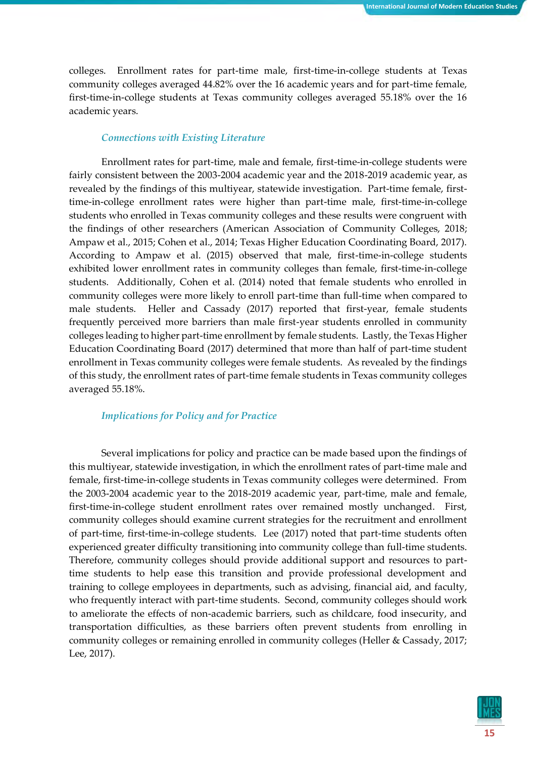colleges. Enrollment rates for part-time male, first-time-in-college students at Texas community colleges averaged 44.82% over the 16 academic years and for part-time female, first-time-in-college students at Texas community colleges averaged 55.18% over the 16 academic years.

### *Connections with Existing Literature*

Enrollment rates for part-time, male and female, first-time-in-college students were fairly consistent between the 2003-2004 academic year and the 2018-2019 academic year, as revealed by the findings of this multiyear, statewide investigation. Part-time female, firsttime-in-college enrollment rates were higher than part-time male, first-time-in-college students who enrolled in Texas community colleges and these results were congruent with the findings of other researchers (American Association of Community Colleges, 2018; Ampaw et al., 2015; Cohen et al., 2014; Texas Higher Education Coordinating Board, 2017). According to Ampaw et al. (2015) observed that male, first-time-in-college students exhibited lower enrollment rates in community colleges than female, first-time-in-college students. Additionally, Cohen et al. (2014) noted that female students who enrolled in community colleges were more likely to enroll part-time than full-time when compared to male students. Heller and Cassady (2017) reported that first-year, female students frequently perceived more barriers than male first-year students enrolled in community colleges leading to higher part-time enrollment by female students. Lastly, the Texas Higher Education Coordinating Board (2017) determined that more than half of part-time student enrollment in Texas community colleges were female students. As revealed by the findings of this study, the enrollment rates of part-time female students in Texas community colleges averaged 55.18%.

### *Implications for Policy and for Practice*

Several implications for policy and practice can be made based upon the findings of this multiyear, statewide investigation, in which the enrollment rates of part-time male and female, first-time-in-college students in Texas community colleges were determined. From the 2003-2004 academic year to the 2018-2019 academic year, part-time, male and female, first-time-in-college student enrollment rates over remained mostly unchanged. First, community colleges should examine current strategies for the recruitment and enrollment of part-time, first-time-in-college students. Lee (2017) noted that part-time students often experienced greater difficulty transitioning into community college than full-time students. Therefore, community colleges should provide additional support and resources to parttime students to help ease this transition and provide professional development and training to college employees in departments, such as advising, financial aid, and faculty, who frequently interact with part-time students. Second, community colleges should work to ameliorate the effects of non-academic barriers, such as childcare, food insecurity, and transportation difficulties, as these barriers often prevent students from enrolling in community colleges or remaining enrolled in community colleges (Heller & Cassady, 2017; Lee, 2017).

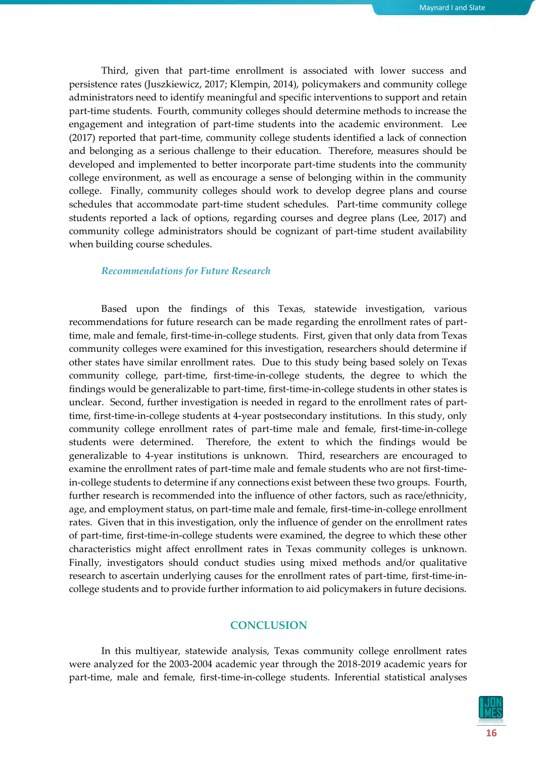Third, given that part-time enrollment is associated with lower success and persistence rates (Juszkiewicz, 2017; Klempin, 2014), policymakers and community college administrators need to identify meaningful and specific interventions to support and retain part-time students. Fourth, community colleges should determine methods to increase the engagement and integration of part-time students into the academic environment. Lee (2017) reported that part-time, community college students identified a lack of connection and belonging as a serious challenge to their education. Therefore, measures should be developed and implemented to better incorporate part-time students into the community college environment, as well as encourage a sense of belonging within in the community college. Finally, community colleges should work to develop degree plans and course schedules that accommodate part-time student schedules. Part-time community college students reported a lack of options, regarding courses and degree plans (Lee, 2017) and community college administrators should be cognizant of part-time student availability when building course schedules.

### *Recommendations for Future Research*

Based upon the findings of this Texas, statewide investigation, various recommendations for future research can be made regarding the enrollment rates of parttime, male and female, first-time-in-college students. First, given that only data from Texas community colleges were examined for this investigation, researchers should determine if other states have similar enrollment rates. Due to this study being based solely on Texas community college, part-time, first-time-in-college students, the degree to which the findings would be generalizable to part-time, first-time-in-college students in other states is unclear. Second, further investigation is needed in regard to the enrollment rates of parttime, first-time-in-college students at 4-year postsecondary institutions. In this study, only community college enrollment rates of part-time male and female, first-time-in-college students were determined. Therefore, the extent to which the findings would be generalizable to 4-year institutions is unknown. Third, researchers are encouraged to examine the enrollment rates of part-time male and female students who are not first-timein-college students to determine if any connections exist between these two groups. Fourth, further research is recommended into the influence of other factors, such as race/ethnicity, age, and employment status, on part-time male and female, first-time-in-college enrollment rates. Given that in this investigation, only the influence of gender on the enrollment rates of part-time, first-time-in-college students were examined, the degree to which these other characteristics might affect enrollment rates in Texas community colleges is unknown. Finally, investigators should conduct studies using mixed methods and/or qualitative research to ascertain underlying causes for the enrollment rates of part-time, first-time-incollege students and to provide further information to aid policymakers in future decisions.

### **CONCLUSION**

In this multiyear, statewide analysis, Texas community college enrollment rates were analyzed for the 2003-2004 academic year through the 2018-2019 academic years for part-time, male and female, first-time-in-college students. Inferential statistical analyses

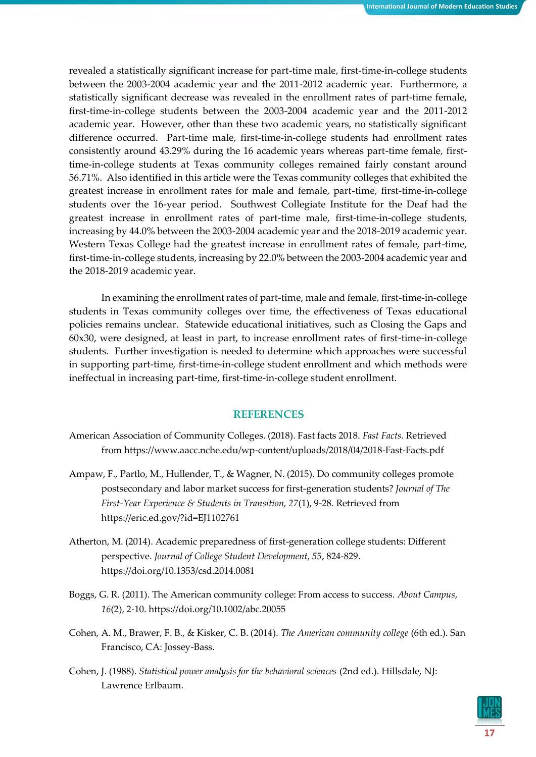revealed a statistically significant increase for part-time male, first-time-in-college students between the 2003-2004 academic year and the 2011-2012 academic year. Furthermore, a statistically significant decrease was revealed in the enrollment rates of part-time female, first-time-in-college students between the 2003-2004 academic year and the 2011-2012 academic year. However, other than these two academic years, no statistically significant difference occurred. Part-time male, first-time-in-college students had enrollment rates consistently around 43.29% during the 16 academic years whereas part-time female, firsttime-in-college students at Texas community colleges remained fairly constant around 56.71%. Also identified in this article were the Texas community colleges that exhibited the greatest increase in enrollment rates for male and female, part-time, first-time-in-college students over the 16-year period. Southwest Collegiate Institute for the Deaf had the greatest increase in enrollment rates of part-time male, first-time-in-college students, increasing by 44.0% between the 2003-2004 academic year and the 2018-2019 academic year. Western Texas College had the greatest increase in enrollment rates of female, part-time, first-time-in-college students, increasing by 22.0% between the 2003-2004 academic year and the 2018-2019 academic year.

In examining the enrollment rates of part-time, male and female, first-time-in-college students in Texas community colleges over time, the effectiveness of Texas educational policies remains unclear. Statewide educational initiatives, such as Closing the Gaps and 60x30, were designed, at least in part, to increase enrollment rates of first-time-in-college students. Further investigation is needed to determine which approaches were successful in supporting part-time, first-time-in-college student enrollment and which methods were ineffectual in increasing part-time, first-time-in-college student enrollment.

## **REFERENCES**

- American Association of Community Colleges. (2018). Fast facts 2018. *Fast Facts.* Retrieved from https://www.aacc.nche.edu/wp-content/uploads/2018/04/2018-Fast-Facts.pdf
- Ampaw, F., Partlo, M., Hullender, T., & Wagner, N. (2015). Do community colleges promote postsecondary and labor market success for first-generation students? *Journal of The First-Year Experience & Students in Transition, 27*(1), 9-28. Retrieved from https://eric.ed.gov/?id=EJ1102761
- Atherton, M. (2014). Academic preparedness of first-generation college students: Different perspective. *Journal of College Student Development, 55*, 824-829. https://doi.org/10.1353/csd.2014.0081
- Boggs, G. R. (2011). The American community college: From access to success. *About Campus*, *16*(2), 2-10. https://doi.org/10.1002/abc.20055
- Cohen, A. M., Brawer, F. B., & Kisker, C. B. (2014). *The American community college* (6th ed.). San Francisco, CA: Jossey-Bass.
- Cohen, J. (1988). *Statistical power analysis for the behavioral sciences* (2nd ed.)*.* Hillsdale, NJ: Lawrence Erlbaum.

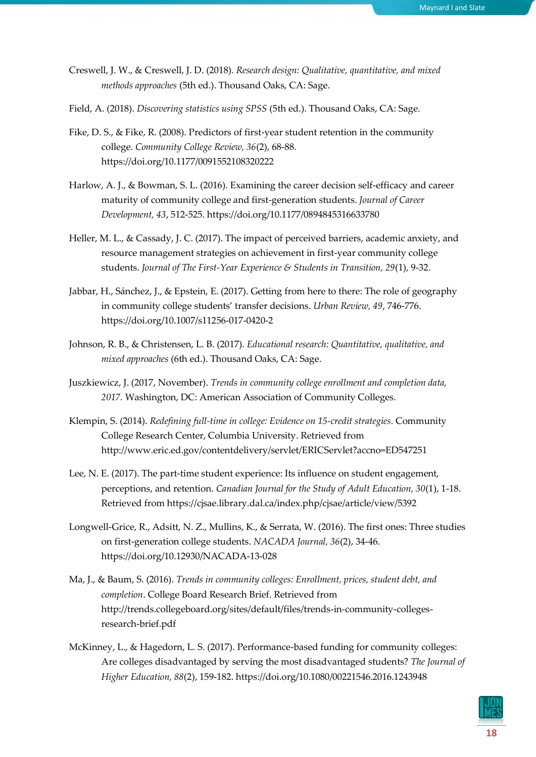- Creswell, J. W., & Creswell, J. D. (2018). *Research design: Qualitative, quantitative, and mixed methods approaches* (5th ed.). Thousand Oaks, CA: Sage.
- Field, A. (2018). *Discovering statistics using SPSS* (5th ed.). Thousand Oaks, CA: Sage.
- Fike, D. S., & Fike, R. (2008). Predictors of first-year student retention in the community college. *Community College Review, 36*(2), 68-88. https://doi.org/10.1177/0091552108320222
- Harlow, A. J., & Bowman, S. L. (2016). Examining the career decision self-efficacy and career maturity of community college and first-generation students. *Journal of Career Development, 43*, 512-525. https://doi.org/10.1177/0894845316633780
- Heller, M. L., & Cassady, J. C. (2017). The impact of perceived barriers, academic anxiety, and resource management strategies on achievement in first-year community college students. *Journal of The First-Year Experience & Students in Transition, 29*(1), 9-32.
- Jabbar, H., Sánchez, J., & Epstein, E. (2017). Getting from here to there: The role of geography in community college students' transfer decisions. *Urban Review, 49*, 746-776. https://doi.org/10.1007/s11256-017-0420-2
- Johnson, R. B., & Christensen, L. B. (2017). *Educational research: Quantitative, qualitative, and mixed approaches* (6th ed.). Thousand Oaks, CA: Sage.
- Juszkiewicz, J. (2017, November). *Trends in community college enrollment and completion data, 2017.* Washington, DC: American Association of Community Colleges.
- Klempin, S. (2014). *Redefining full-time in college: Evidence on 15-credit strategies.* Community College Research Center, Columbia University. Retrieved from http://www.eric.ed.gov/contentdelivery/servlet/ERICServlet?accno=ED547251
- Lee, N. E. (2017). The part-time student experience: Its influence on student engagement, perceptions, and retention. *Canadian Journal for the Study of Adult Education, 30*(1), 1-18. Retrieved from https://cjsae.library.dal.ca/index.php/cjsae/article/view/5392
- Longwell-Grice, R., Adsitt, N. Z., Mullins, K., & Serrata, W. (2016). The first ones: Three studies on first-generation college students. *NACADA Journal, 36*(2), 34-46. https://doi.org/10.12930/NACADA-13-028
- Ma, J., & Baum, S. (2016). *Trends in community colleges: Enrollment, prices, student debt, and completion*. College Board Research Brief. Retrieved from http://trends.collegeboard.org/sites/default/files/trends-in-community-collegesresearch-brief.pdf
- McKinney, L., & Hagedorn, L. S. (2017). Performance-based funding for community colleges: Are colleges disadvantaged by serving the most disadvantaged students? *The Journal of Higher Education, 88*(2), 159-182. https://doi.org/10.1080/00221546.2016.1243948

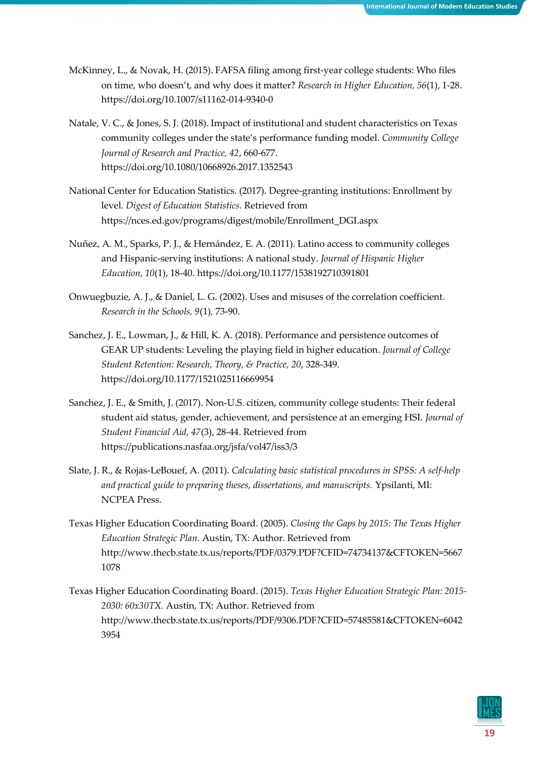- McKinney, L., & Novak, H. (2015). FAFSA filing among first-year college students: Who files on time, who doesn't, and why does it matter? *Research in Higher Education, 56*(1), 1-28. https://doi.org/10.1007/s11162-014-9340-0
- Natale, V. C., & Jones, S. J. (2018). Impact of institutional and student characteristics on Texas community colleges under the state's performance funding model. *Community College Journal of Research and Practice, 42*, 660-677. https://doi.org/10.1080/10668926.2017.1352543
- National Center for Education Statistics. (2017). Degree-granting institutions: Enrollment by level. *Digest of Education Statistics.* Retrieved from https://nces.ed.gov/programs/digest/mobile/Enrollment\_DGI.aspx
- Nuñez, A. M., Sparks, P. J., & Hernández, E. A. (2011). Latino access to community colleges and Hispanic-serving institutions: A national study. *Journal of Hispanic Higher Education, 10*(1), 18-40. https://doi.org/10.1177/1538192710391801
- Onwuegbuzie, A. J., & Daniel, L. G. (2002). Uses and misuses of the correlation coefficient. *Research in the Schools, 9*(1)*,* 73-90.
- Sanchez, J. E., Lowman, J., & Hill, K. A. (2018). Performance and persistence outcomes of GEAR UP students: Leveling the playing field in higher education. *Journal of College Student Retention: Research, Theory, & Practice, 20*, 328-349. https://doi.org/10.1177/1521025116669954
- Sanchez, J. E., & Smith, J. (2017). Non-U.S. citizen, community college students: Their federal student aid status, gender, achievement, and persistence at an emerging HSI. *Journal of Student Financial Aid, 47*(3), 28-44. Retrieved from https://publications.nasfaa.org/jsfa/vol47/iss3/3
- Slate, J. R., & Rojas-LeBouef, A. (2011). *Calculating basic statistical procedures in SPSS: A self-help and practical guide to preparing theses, dissertations, and manuscripts.* Ypsilanti, MI: NCPEA Press.
- Texas Higher Education Coordinating Board. (2005). *Closing the Gaps by 2015: The Texas Higher Education Strategic Plan.* Austin, TX: Author. Retrieved from http://www.thecb.state.tx.us/reports/PDF/0379.PDF?CFID=74734137&CFTOKEN=5667 1078
- Texas Higher Education Coordinating Board. (2015). *Texas Higher Education Strategic Plan: 2015- 2030: 60x30TX.* Austin, TX: Author. Retrieved from http://www.thecb.state.tx.us/reports/PDF/9306.PDF?CFID=57485581&CFTOKEN=6042 3954